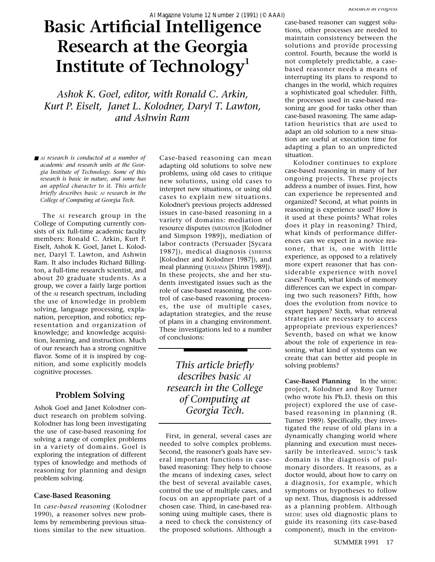# **Basic Artificial Intelligence Research at the Georgia Institute of Technology<sup>1</sup>**

*Ashok K. Goel, editor, with Ronald C. Arkin, Kurt P. Eiselt, Janet L. Kolodner, Daryl T. Lawton, and Ashwin Ram*

■ *AI research is conducted at a number of academic and research units at the Georgia Institute of Technology. Some of this research is basic in nature, and some has an applied character to it. This article briefly describes basic AI research in the College of Computing at Georgia Tech.*

The AI research group in the College of Computing currently consists of six full-time academic faculty members: Ronald C. Arkin, Kurt P. Eiselt, Ashok K. Goel, Janet L. Kolodner, Daryl T. Lawton, and Ashwin Ram. It also includes Richard Billington, a full-time research scientist, and about 20 graduate students. As a group, we cover a fairly large portion of the AI research spectrum, including the use of knowledge in problem solving, language processing, explanation, perception, and robotics; representation and organization of knowledge; and knowledge acquisition, learning, and instruction. Much of our research has a strong cognitive flavor. Some of it is inspired by cognition, and some explicitly models cognitive processes.

# **Problem Solving**

Ashok Goel and Janet Kolodner conduct research on problem solving. Kolodner has long been investigating the use of case-based reasoning for solving a range of complex problems in a variety of domains. Goel is exploring the integration of different types of knowledge and methods of reasoning for planning and design problem solving.

### **Case-Based Reasoning**

In *case-based reasoning* (Kolodner 1990), a reasoner solves new problems by remembering previous situations similar to the new situation.

Case-based reasoning can mean adapting old solutions to solve new problems, using old cases to critique new solutions, using old cases to interpret new situations, or using old cases to explain new situations. Kolodner's previous projects addressed issues in case-based reasoning in a variety of domains: mediation of resource disputes (MEDIATOR [Kolodner and Simpson 1989]), mediation of labor contracts (Persuader [Sycara 1987]), medical diagnosis (SHRINK [Kolodner and Kolodner 1987]), and meal planning (JULIANA [Shinn 1989]). In these projects, she and her students investigated issues such as the role of case-based reasoning, the control of case-based reasoning processes, the use of multiple cases, adaptation strategies, and the reuse of plans in a changing environment. These investigations led to a number of conclusions:

*This article briefly describes basic AI research in the College of Computing at Georgia Tech.*

First, in general, several cases are needed to solve complex problems. Second, the reasoner's goals have several important functions in casebased reasoning: They help to choose the means of indexing cases, select the best of several available cases, control the use of multiple cases, and focus on an appropriate part of a chosen case. Third, in case-based reasoning using multiple cases, there is a need to check the consistency of the proposed solutions. Although a

case-based reasoner can suggest solutions, other processes are needed to maintain consistency between the solutions and provide processing control. Fourth, because the world is not completely predictable, a casebased reasoner needs a means of interrupting its plans to respond to changes in the world, which requires a sophisticated goal scheduler. Fifth, the processes used in case-based reasoning are good for tasks other than case-based reasoning. The same adaptation heuristics that are used to adapt an old solution to a new situation are useful at execution time for adapting a plan to an unpredicted situation.

Kolodner continues to explore case-based reasoning in many of her ongoing projects. These projects address a number of issues. First, how can experience be represented and organized? Second, at what points in reasoning is experience used? How is it used at these points? What roles does it play in reasoning? Third, what kinds of performance differences can we expect in a novice reasoner, that is, one with little experience, as opposed to a relatively more expert reasoner that has considerable experience with novel cases? Fourth, what kinds of memory differences can we expect in comparing two such reasoners? Fifth, how does the evolution from novice to expert happen? Sixth, what retrieval strategies are necessary to access appropriate previous experiences? Seventh, based on what we know about the role of experience in reasoning, what kind of systems can we create that can better aid people in solving problems?

**Case-Based Planning** In the MEDIC project, Kolodner and Roy Turner (who wrote his Ph.D. thesis on this project) explored the use of casebased reasoning in planning (R. Turner 1989). Specifically, they investigated the reuse of old plans in a dynamically changing world where planning and execution must necessarily be interleaved. MEDIC's task domain is the diagnosis of pulmonary disorders. It reasons, as a doctor would, about how to carry on a diagnosis, for example, which symptoms or hypotheses to follow up next. Thus, diagnosis is addressed as a planning problem. Although MEDIC uses old diagnostic plans to guide its reasoning (its case-based component), much in the environ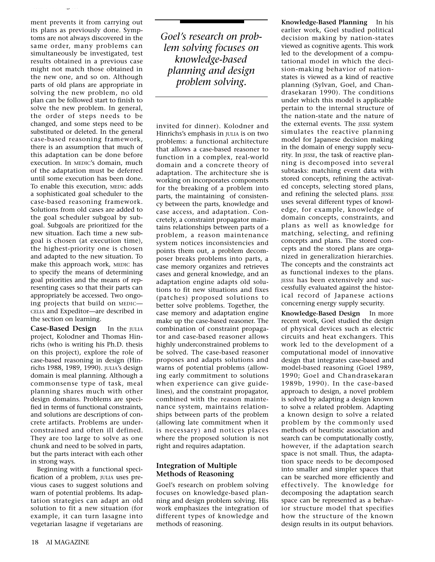ment prevents it from carrying out its plans as previously done. Symptoms are not always discovered in the same order, many problems can simultaneously be investigated, test results obtained in a previous case might not match those obtained in the new one, and so on. Although parts of old plans are appropriate in solving the new problem, no old plan can be followed start to finish to solve the new problem. In general, the order of steps needs to be changed, and some steps need to be substituted or deleted. In the general case-based reasoning framework, there is an assumption that much of this adaptation can be done before execution. In MEDIC's domain, much of the adaptation must be deferred until some execution has been done. To enable this execution, MEDIC adds a sophisticated goal scheduler to the case-based reasoning framework. Solutions from old cases are added to the goal scheduler subgoal by subgoal. Subgoals are prioritized for the new situation. Each time a new subgoal is chosen (at execution time), the highest-priority one is chosen and adapted to the new situation. To make this approach work, MEDIC has to specify the means of determining goal priorities and the means of representing cases so that their parts can appropriately be accessed. Two ongoing projects that build on MEDIC— CELIA and Expeditor—are described in the section on learning.

*Research in Progress*

**Case-Based Design** In the JULIA project, Kolodner and Thomas Hinrichs (who is writing his Ph.D. thesis on this project), explore the role of case-based reasoning in design (Hinrichs 1988, 1989, 1990). JULIA's design domain is meal planning. Although a commonsense type of task, meal planning shares much with other design domains. Problems are specified in terms of functional constraints, and solutions are descriptions of concrete artifacts. Problems are underconstrained and often ill defined. They are too large to solve as one chunk and need to be solved in parts, but the parts interact with each other in strong ways.

Beginning with a functional specification of a problem, JULIA uses previous cases to suggest solutions and warn of potential problems. Its adaptation strategies can adapt an old solution to fit a new situation (for example, it can turn lasagne into vegetarian lasagne if vegetarians are

*Goel's research on problem solving focuses on knowledge-based planning and design problem solving.*

invited for dinner). Kolodner and Hinrichs's emphasis in JULIA is on two problems: a functional architecture that allows a case-based reasoner to function in a complex, real-world domain and a concrete theory of adaptation. The architecture she is working on incorporates components for the breaking of a problem into parts, the maintaining of consistency between the parts, knowledge and case access, and adaptation. Concretely, a constraint propagator maintains relationships between parts of a problem, a reason maintenance system notices inconsistencies and points them out, a problem decomposer breaks problems into parts, a case memory organizes and retrieves cases and general knowledge, and an adaptation engine adapts old solutions to fit new situations and fixes (patches) proposed solutions to better solve problems. Together, the case memory and adaptation engine make up the case-based reasoner. The combination of constraint propagator and case-based reasoner allows highly underconstrained problems to be solved. The case-based reasoner proposes and adapts solutions and warns of potential problems (allowing early commitment to solutions when experience can give guidelines), and the constraint propagator, combined with the reason maintenance system, maintains relationships between parts of the problem (allowing late commitment when it is necessary) and notices places where the proposed solution is not right and requires adaptation.

# **Integration of Multiple Methods of Reasoning**

Goel's research on problem solving focuses on knowledge-based planning and design problem solving. His work emphasizes the integration of different types of knowledge and methods of reasoning.

**Knowledge-Based Planning** In his earlier work, Goel studied political decision making by nation-states viewed as cognitive agents. This work led to the development of a computational model in which the decision-making behavior of nationstates is viewed as a kind of reactive planning (Sylvan, Goel, and Chandrasekaran 1990). The conditions under which this model is applicable pertain to the internal structure of the nation-state and the nature of the external events. The JESSE system simulates the reactive planning model for Japanese decision making in the domain of energy supply security. In JESSE, the task of reactive planning is decomposed into several subtasks: matching event data with stored concepts, refining the activated concepts, selecting stored plans, and refining the selected plans. JESSE uses several different types of knowledge, for example, knowledge of domain concepts, constraints, and plans as well as knowledge for matching, selecting, and refining concepts and plans. The stored concepts and the stored plans are organized in generalization hierarchies. The concepts and the constraints act as functional indexes to the plans. JESSE has been extensively and successfully evaluated against the historical record of Japanese actions concerning energy supply security.

**Knowledge-Based Design** In more recent work, Goel studied the design of physical devices such as electric circuits and heat exchangers. This work led to the development of a computational model of innovative design that integrates case-based and model-based reasoning (Goel 1989, 1990; Goel and Chandrasekaran 1989b, 1990). In the case-based approach to design, a novel problem is solved by adapting a design known to solve a related problem. Adapting a known design to solve a related problem by the commonly used methods of heuristic association and search can be computationally costly, however, if the adaptation search space is not small. Thus, the adaptation space needs to be decomposed into smaller and simpler spaces that can be searched more efficiently and effectively. The knowledge for decomposing the adaptation search space can be represented as a behavior structure model that specifies how the structure of the known design results in its output behaviors.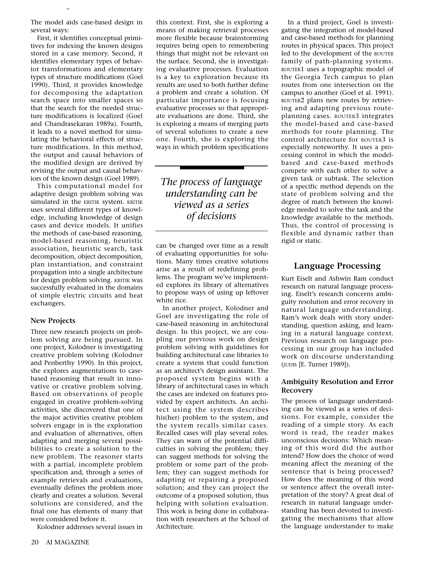The model aids case-based design in several ways:

*Research in Progress*

First, it identifies conceptual primitives for indexing the known designs stored in a case memory. Second, it identifies elementary types of behavior transformations and elementary types of structure modifications (Goel 1990). Third, it provides knowledge for decomposing the adaptation search space into smaller spaces so that the search for the needed structure modifications is localized (Goel and Chandrasekaran 1989a). Fourth, it leads to a novel method for simulating the behavioral effects of structure modifications. In this method, the output and causal behaviors of the modified design are derived by revising the output and causal behaviors of the known design (Goel 1989).

This computational model for adaptive design problem solving was simulated in the KRITIK system. KRITIK uses several different types of knowledge, including knowledge of design cases and device models. It unifies the methods of case-based reasoning, model-based reasoning, heuristic association, heuristic search, task decomposition, object decomposition, plan instantiation, and constraint propagation into a single architecture for design problem solving. KRITIK was successfully evaluated in the domains of simple electric circuits and heat exchangers.

## **New Projects**

Three new research projects on problem solving are being pursued. In one project, Kolodner is investigating creative problem solving (Kolodner and Penberthy 1990). In this project, she explores augmentations to casebased reasoning that result in innovative or creative problem solving. Based on observations of people engaged in creative problem-solving activities, she discovered that one of the major activities creative problem solvers engage in is the exploration and evaluation of alternatives, often adapting and merging several possibilities to create a solution to the new problem. The reasoner starts with a partial, incomplete problem specification and, through a series of example retrievals and evaluations, eventually defines the problem more clearly and creates a solution. Several solutions are considered, and the final one has elements of many that were considered before it.

Kolodner addresses several issues in

this context. First, she is exploring a means of making retrieval processes more flexible because brainstorming requires being open to remembering things that might not be relevant on the surface. Second, she is investigating evaluative processes. Evaluation is a key to exploration because its results are used to both further define a problem and create a solution. Of particular importance is focusing evaluative processes so that appropriate evaluations are done. Third, she is exploring a means of merging parts of several solutions to create a new one. Fourth, she is exploring the ways in which problem specifications

*The process of language understanding can be viewed as a series of decisions*

can be changed over time as a result of evaluating opportunities for solutions. Many times creative solutions arise as a result of redefining problems. The program we've implemented explores its library of alternatives to propose ways of using up leftover white rice.

In another project, Kolodner and Goel are investigating the role of case-based reasoning in architectural design. In this project, we are coupling our previous work on design problem solving with guidelines for building architectural case libraries to create a system that could function as an architect's design assistant. The proposed system begins with a library of architectural cases in which the cases are indexed on features provided by expert architects. An architect using the system describes his(her) problem to the system, and the system recalls similar cases. Recalled cases will play several roles. They can warn of the potential difficulties in solving the problem; they can suggest methods for solving the problem or some part of the problem; they can suggest methods for adapting or repairing a proposed solution; and they can project the outcome of a proposed solution, thus helping with solution evaluation. This work is being done in collaboration with researchers at the School of Architecture.

In a third project, Goel is investigating the integration of model-based and case-based methods for planning routes in physical spaces. This project led to the development of the ROUTER family of path-planning systems. ROUTER1 uses a topographic model of the Georgia Tech campus to plan routes from one intersection on the campus to another (Goel et al. 1991). ROUTER2 plans new routes by retrieving and adapting previous routeplanning cases. ROUTER3 integrates the model-based and case-based methods for route planning. The control architecture for ROUTER3 is especially noteworthy. It uses a processing control in which the modelbased and case-based methods compete with each other to solve a given task or subtask. The selection of a specific method depends on the state of problem solving and the degree of match between the knowledge needed to solve the task and the knowledge available to the methods. Thus, the control of processing is flexible and dynamic rather than rigid or static.

# **Language Processing**

Kurt Eiselt and Ashwin Ram conduct research on natural language processing. Eiselt's research concerns ambiguity resolution and error recovery in natural language understanding. Ram's work deals with story understanding, question asking, and learning in a natural language context. Previous research on language processing in our group has included work on discourse understanding (JUDIS [E. Turner 1989]).

## **Ambiguity Resolution and Error Recovery**

The process of language understanding can be viewed as a series of decisions. For example, consider the reading of a simple story. As each word is read, the reader makes unconscious decisions: Which meaning of this word did the author intend? How does the choice of word meaning affect the meaning of the sentence that is being processed? How does the meaning of this word or sentence affect the overall interpretation of the story? A great deal of research in natural language understanding has been devoted to investigating the mechanisms that allow the language understander to make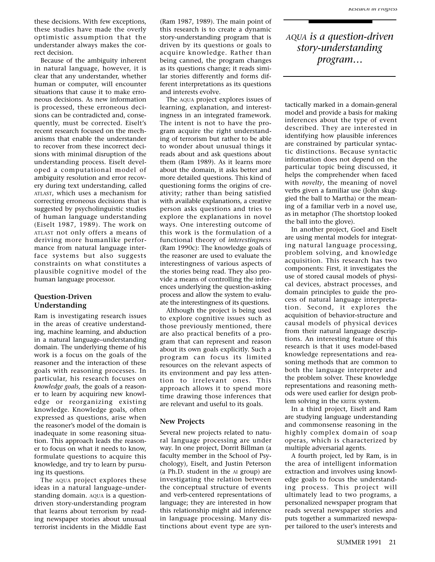these decisions. With few exceptions, these studies have made the overly optimistic assumption that the understander always makes the correct decision.

Because of the ambiguity inherent in natural language, however, it is clear that any understander, whether human or computer, will encounter situations that cause it to make erroneous decisions. As new information is processed, these erroneous decisions can be contradicted and, consequently, must be corrected. Eiselt's recent research focused on the mechanisms that enable the understander to recover from these incorrect decisions with minimal disruption of the understanding process. Eiselt developed a computational model of ambiguity resolution and error recovery during text understanding, called ATLAST, which uses a mechanism for correcting erroneous decisions that is suggested by psycholinguistic studies of human language understanding (Eiselt 1987, 1989). The work on ATLAST not only offers a means of deriving more humanlike performance from natural language interface systems but also suggests constraints on what constitutes a plausible cognitive model of the human language processor.

### **Question-Driven Understanding**

Ram is investigating research issues in the areas of creative understanding, machine learning, and abduction in a natural language–understanding domain. The underlying theme of his work is a focus on the goals of the reasoner and the interaction of these goals with reasoning processes. In particular, his research focuses on *knowledge goals,* the goals of a reasoner to learn by acquiring new knowledge or reorganizing existing knowledge. Knowledge goals, often expressed as questions, arise when the reasoner's model of the domain is inadequate in some reasoning situation. This approach leads the reasoner to focus on what it needs to know, formulate questions to acquire this knowledge, and try to learn by pursuing its questions.

The AQUA project explores these ideas in a natural language–understanding domain. AQUA is a questiondriven story-understanding program that learns about terrorism by reading newspaper stories about unusual terrorist incidents in the Middle East

(Ram 1987, 1989). The main point of this research is to create a dynamic story-understanding program that is driven by its questions or goals to acquire knowledge. Rather than being canned, the program changes as its questions change; it reads similar stories differently and forms different interpretations as its questions and interests evolve.

The AQUA project explores issues of learning, explanation, and interestingness in an integrated framework. The intent is not to have the program acquire the right understanding of terrorism but rather to be able to wonder about unusual things it reads about and ask questions about them (Ram 1989). As it learns more about the domain, it asks better and more detailed questions. This kind of questioning forms the origins of creativity; rather than being satisfied with available explanations, a creative person asks questions and tries to explore the explanations in novel ways. One interesting outcome of this work is the formulation of a functional theory of *interestingness* (Ram 1990c): The knowledge goals of the reasoner are used to evaluate the interestingness of various aspects of the stories being read. They also provide a means of controlling the inferences underlying the question-asking process and allow the system to evaluate the interestingness of its questions.

Although the project is being used to explore cognitive issues such as those previously mentioned, there are also practical benefits of a program that can represent and reason about its own goals explicitly. Such a program can focus its limited resources on the relevant aspects of its environment and pay less attention to irrelevant ones. This approach allows it to spend more time drawing those inferences that are relevant and useful to its goals.

#### **New Projects**

Several new projects related to natural language processing are under way. In one project, Dorrit Billman (a faculty member in the School of Psychology), Eiselt, and Justin Peterson (a Ph.D. student in the AI group) are investigating the relation between the conceptual structure of events and verb-centered representations of language; they are interested in how this relationship might aid inference in language processing. Many distinctions about event type are syn*AQUA is a question-driven story-understanding program…*

tactically marked in a domain-general model and provide a basis for making inferences about the type of event described. They are interested in identifying how plausible inferences are constrained by particular syntactic distinctions. Because syntactic information does not depend on the particular topic being discussed, it helps the comprehender when faced with *novelty*, the meaning of novel verbs given a familiar use (John skuggied the ball to Martha) or the meaning of a familiar verb in a novel use, as in metaphor (The shortstop looked the ball into the glove).

In another project, Goel and Eiselt are using mental models for integrating natural language processing, problem solving, and knowledge acquisition. This research has two components: First, it investigates the use of stored causal models of physical devices, abstract processes, and domain principles to guide the process of natural language interpretation. Second, it explores the acquisition of behavior-structure and causal models of physical devices from their natural language descriptions. An interesting feature of this research is that it uses model-based knowledge representations and reasoning methods that are common to both the language interpreter and the problem solver. These knowledge representations and reasoning methods were used earlier for design problem solving in the KRITIK system.

In a third project, Eiselt and Ram are studying language understanding and commonsense reasoning in the highly complex domain of soap operas, which is characterized by multiple adversarial agents.

A fourth project, led by Ram, is in the area of intelligent information extraction and involves using knowledge goals to focus the understanding process. This project will ultimately lead to two programs, a personalized newspaper program that reads several newspaper stories and puts together a summarized newspaper tailored to the user's interests and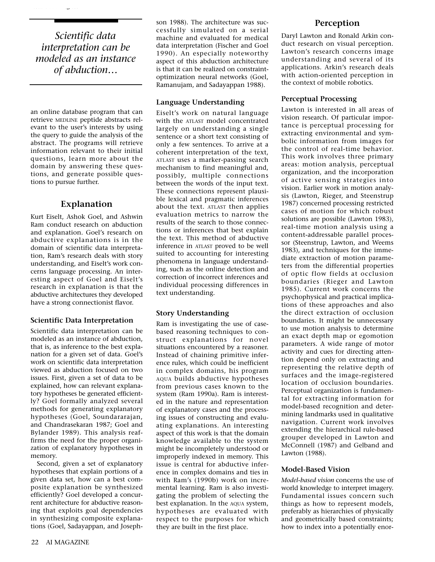*Scientific data interpretation can be modeled as an instance of abduction…*

*Research in Progress*

an online database program that can retrieve MEDLINE peptide abstracts relevant to the user's interests by using the query to guide the analysis of the abstract. The programs will retrieve information relevant to their initial questions, learn more about the domain by answering these questions, and generate possible questions to pursue further.

# **Explanation**

Kurt Eiselt, Ashok Goel, and Ashwin Ram conduct research on abduction and explanation. Goel's research on abductive explanations is in the domain of scientific data interpretation, Ram's research deals with story understanding, and Eiselt's work concerns language processing. An interesting aspect of Goel and Eiselt's research in explanation is that the abductive architectures they developed have a strong connectionist flavor.

# **Scientific Data Interpretation**

Scientific data interpretation can be modeled as an instance of abduction, that is, as inference to the best explanation for a given set of data. Goel's work on scientific data interpretation viewed as abduction focused on two issues. First, given a set of data to be explained, how can relevant explanatory hypotheses be generated efficiently? Goel formally analyzed several methods for generating explanatory hypotheses (Goel, Soundararajan, and Chandrasekaran 1987; Goel and Bylander 1989). This analysis reaffirms the need for the proper organization of explanatory hypotheses in memory.

Second, given a set of explanatory hypotheses that explain portions of a given data set, how can a best composite explanation be synthesized efficiently? Goel developed a concurrent architecture for abductive reasoning that exploits goal dependencies in synthesizing composite explanations (Goel, Sadayappan, and Josephson 1988). The architecture was successfully simulated on a serial machine and evaluated for medical data interpretation (Fischer and Goel 1990). An especially noteworthy aspect of this abduction architecture is that it can be realized on constraintoptimization neural networks (Goel, Ramanujam, and Sadayappan 1988).

## **Language Understanding**

Eiselt's work on natural language with the ATLAST model concentrated largely on understanding a single sentence or a short text consisting of only a few sentences. To arrive at a coherent interpretation of the text, ATLAST uses a marker-passing search mechanism to find meaningful and, possibly, multiple connections between the words of the input text. These connections represent plausible lexical and pragmatic inferences about the text. ATLAST then applies evaluation metrics to narrow the results of the search to those connections or inferences that best explain the text. This method of abductive inference in ATLAST proved to be well suited to accounting for interesting phenomena in language understanding, such as the online detection and correction of incorrect inferences and individual processing differences in text understanding.

## **Story Understanding**

Ram is investigating the use of casebased reasoning techniques to construct explanations for novel situations encountered by a reasoner. Instead of chaining primitive inference rules, which could be inefficient in complex domains, his program AQUA builds abductive hypotheses from previous cases known to the system (Ram 1990a). Ram is interested in the nature and representation of explanatory cases and the processing issues of constructing and evaluating explanations. An interesting aspect of this work is that the domain knowledge available to the system might be incompletely understood or improperly indexed in memory. This issue is central for abductive inference in complex domains and ties in with Ram's (1990b) work on incremental learning. Ram is also investigating the problem of selecting the best explanation. In the AQUA system, hypotheses are evaluated with respect to the purposes for which they are built in the first place.

# **Perception**

Daryl Lawton and Ronald Arkin conduct research on visual perception. Lawton's research concerns image understanding and several of its applications. Arkin's research deals with action-oriented perception in the context of mobile robotics.

## **Perceptual Processing**

Lawton is interested in all areas of vision research. Of particular importance is perceptual processing for extracting environmental and symbolic information from images for the control of real-time behavior. This work involves three primary areas: motion analysis, perceptual organization, and the incorporation of active sensing strategies into vision. Earlier work in motion analysis (Lawton, Rieger, and Steenstrup 1987) concerned processing restricted cases of motion for which robust solutions are possible (Lawton 1983), real-time motion analysis using a content-addressable parallel processor (Steenstrup, Lawton, and Weems 1983), and techniques for the immediate extraction of motion parameters from the differential properties of optic flow fields at occlusion boundaries (Rieger and Lawton 1985). Current work concerns the psychophysical and practical implications of these approaches and also the direct extraction of occlusion boundaries. It might be unnecessary to use motion analysis to determine an exact depth map or egomotion parameters. A wide range of motor activity and cues for directing attention depend only on extracting and representing the relative depth of surfaces and the image-registered location of occlusion boundaries. Perceptual organization is fundamental for extracting information for model-based recognition and determining landmarks used in qualitative navigation. Current work involves extending the hierarchical rule-based grouper developed in Lawton and McConnell (1987) and Gelband and Lawton (1988).

# **Model-Based Vision**

*Model-based vision* concerns the use of world knowledge to interpret imagery. Fundamental issues concern such things as how to represent models, preferably as hierarchies of physically and geometrically based constraints; how to index into a potentially enor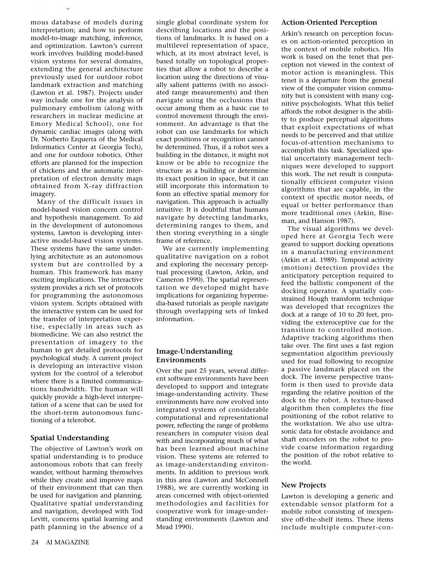mous database of models during interpretation; and how to perform model-to-image matching, inference, and optimization. Lawton's current work involves building model-based vision systems for several domains, extending the general architecture previously used for outdoor robot landmark extraction and matching (Lawton et al. 1987). Projects under way include one for the analysis of pulmonary embolism (along with researchers in nuclear medicine at Emory Medical School), one for dynamic cardiac images (along with Dr. Norberto Ezquerra of the Medical Informatics Center at Georgia Tech), and one for outdoor robotics. Other efforts are planned for the inspection of chickens and the automatic interpretation of electron density maps obtained from X-ray diffraction imagery.

*Research in Progress*

Many of the difficult issues in model-based vision concern control and hypothesis management. To aid in the development of autonomous systems, Lawton is developing interactive model-based vision systems. These systems have the same underlying architecture as an autonomous system but are controlled by a human. This framework has many exciting implications. The interactive system provides a rich set of protocols for programming the autonomous vision system. Scripts obtained with the interactive system can be used for the transfer of interpretation expertise, especially in areas such as biomedicine. We can also restrict the presentation of imagery to the human to get detailed protocols for psychological study. A current project is developing an interactive vision system for the control of a telerobot where there is a limited communications bandwidth. The human will quickly provide a high-level interpretation of a scene that can be used for the short-term autonomous functioning of a telerobot.

# **Spatial Understanding**

The objective of Lawton's work on spatial understanding is to produce autonomous robots that can freely wander, without harming themselves while they create and improve maps of their environment that can then be used for navigation and planning. Qualitative spatial understanding and navigation, developed with Tod Levitt, concerns spatial learning and path planning in the absence of a

single global coordinate system for describing locations and the positions of landmarks. It is based on a multilevel representation of space, which, at its most abstract level, is based totally on topological properties that allow a robot to describe a location using the directions of visually salient patterns (with no associated range measurements) and then navigate using the occlusions that occur among them as a basic cue to control movement through the environment. An advantage is that the robot can use landmarks for which exact positions or recognition cannot be determined. Thus, if a robot sees a building in the distance, it might not know or be able to recognize the structure as a building or determine its exact position in space, but it can still incorporate this information to form an effective spatial memory for navigation. This approach is actually intuitive: It is doubtful that humans navigate by detecting landmarks, determining ranges to them, and then storing everything in a single frame of reference.

We are currently implementing qualitative navigation on a robot and exploring the necessary perceptual processing (Lawton, Arkin, and Cameron 1990). The spatial representation we developed might have implications for organizing hypermedia-based tutorials as people navigate through overlapping sets of linked information.

# **Image-Understanding Environments**

Over the past 25 years, several different software environments have been developed to support and integrate image-understanding activity. These environments have now evolved into integrated systems of considerable computational and representational power, reflecting the range of problems researchers in computer vision deal with and incorporating much of what has been learned about machine vision. These systems are referred to as image-understanding environments. In addition to previous work in this area (Lawton and McConnell 1988), we are currently working in areas concerned with object-oriented methodologies and facilities for cooperative work for image-understanding environments (Lawton and Mead 1990).

## **Action-Oriented Perception**

Arkin's research on perception focuses on action-oriented perception in the context of mobile robotics. His work is based on the tenet that perception not viewed in the context of motor action is meaningless. This tenet is a departure from the general view of the computer vision community but is consistent with many cognitive psychologists. What this belief affords the robot designer is the ability to produce perceptual algorithms that exploit expectations of what needs to be perceived and that utilize focus-of-attention mechanisms to accomplish this task. Specialized spatial uncertainty management techniques were developed to support this work. The net result is computationally efficient computer vision algorithms that are capable, in the context of specific motor needs, of equal or better performance than more traditional ones (Arkin, Riseman, and Hanson 1987).

The visual algorithms we developed here at Georgia Tech were geared to support docking operations in a manufacturing environment (Arkin et al. 1989). Temporal activity (motion) detection provides the anticipatory perception required to feed the ballistic component of the docking operator. A spatially constrained Hough transform technique was developed that recognizes the dock at a range of 10 to 20 feet, providing the exteroceptive cue for the transition to controlled motion. Adaptive tracking algorithms then take over. The first uses a fast region segmentation algorithm previously used for road following to recognize a passive landmark placed on the dock. The inverse perspective transform is then used to provide data regarding the relative position of the dock to the robot. A texture-based algorithm then completes the fine positioning of the robot relative to the workstation. We also use ultrasonic data for obstacle avoidance and shaft encoders on the robot to provide coarse information regarding the position of the robot relative to the world.

# **New Projects**

Lawton is developing a generic and extendable sensor platform for a mobile robot consisting of inexpensive off-the-shelf items. These items include multiple computer-con-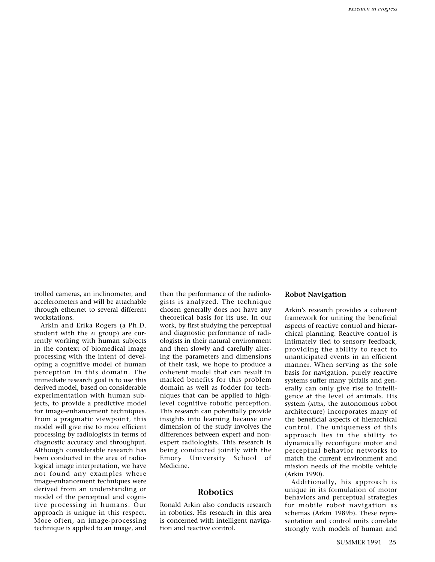trolled cameras, an inclinometer, and accelerometers and will be attachable through ethernet to several different workstations.

Arkin and Erika Rogers (a Ph.D. student with the AI group) are currently working with human subjects in the context of biomedical image processing with the intent of developing a cognitive model of human perception in this domain. The immediate research goal is to use this derived model, based on considerable experimentation with human subjects, to provide a predictive model for image-enhancement techniques. From a pragmatic viewpoint, this model will give rise to more efficient processing by radiologists in terms of diagnostic accuracy and throughput. Although considerable research has been conducted in the area of radiological image interpretation, we have not found any examples where image-enhancement techniques were derived from an understanding or model of the perceptual and cognitive processing in humans. Our approach is unique in this respect. More often, an image-processing technique is applied to an image, and then the performance of the radiologists is analyzed. The technique chosen generally does not have any theoretical basis for its use. In our work, by first studying the perceptual and diagnostic performance of radiologists in their natural environment and then slowly and carefully altering the parameters and dimensions of their task, we hope to produce a coherent model that can result in marked benefits for this problem domain as well as fodder for techniques that can be applied to highlevel cognitive robotic perception. This research can potentially provide insights into learning because one dimension of the study involves the differences between expert and nonexpert radiologists. This research is being conducted jointly with the Emory University School of Medicine.

# **Robotics**

Ronald Arkin also conducts research in robotics. His research in this area is concerned with intelligent navigation and reactive control.

#### **Robot Navigation**

Arkin's research provides a coherent framework for uniting the beneficial aspects of reactive control and hierarchical planning. Reactive control is intimately tied to sensory feedback, providing the ability to react to unanticipated events in an efficient manner. When serving as the sole basis for navigation, purely reactive systems suffer many pitfalls and generally can only give rise to intelligence at the level of animals. His system (AURA, the autonomous robot architecture) incorporates many of the beneficial aspects of hierarchical control. The uniqueness of this approach lies in the ability to dynamically reconfigure motor and perceptual behavior networks to match the current environment and mission needs of the mobile vehicle (Arkin 1990).

Additionally, his approach is unique in its formulation of motor behaviors and perceptual strategies for mobile robot navigation as schemas (Arkin 1989b). These representation and control units correlate strongly with models of human and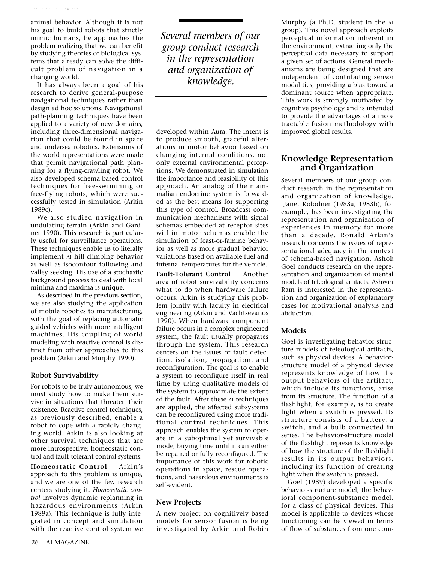animal behavior. Although it is not his goal to build robots that strictly mimic humans, he approaches the problem realizing that we can benefit by studying theories of biological systems that already can solve the difficult problem of navigation in a changing world.

*Research in Progress*

It has always been a goal of his research to derive general-purpose navigational techniques rather than design ad hoc solutions. Navigational path-planning techniques have been applied to a variety of new domains, including three-dimensional navigation that could be found in space and undersea robotics. Extensions of the world representations were made that permit navigational path planning for a flying-crawling robot. We also developed schema-based control techniques for free-swimming or free-flying robots, which were successfully tested in simulation (Arkin 1989c).

We also studied navigation in undulating terrain (Arkin and Gardner 1990). This research is particularly useful for surveillance operations. These techniques enable us to literally implement AI hill-climbing behavior as well as isocontour following and valley seeking. His use of a stochastic background process to deal with local minima and maxima is unique.

As described in the previous section, we are also studying the application of mobile robotics to manufacturing, with the goal of replacing automatic guided vehicles with more intelligent machines. His coupling of world modeling with reactive control is distinct from other approaches to this problem (Arkin and Murphy 1990).

## **Robot Survivability**

For robots to be truly autonomous, we must study how to make them survive in situations that threaten their existence. Reactive control techniques, as previously described, enable a robot to cope with a rapidly changing world. Arkin is also looking at other survival techniques that are more introspective: homeostatic control and fault-tolerant control systems.

**Homeostatic Control** Arkin's approach to this problem is unique, and we are one of the few research centers studying it. *Homeostatic control* involves dynamic replanning in hazardous environments (Arkin 1989a). This technique is fully integrated in concept and simulation with the reactive control system we

*Several members of our group conduct research in the representation and organization of knowledge.*

developed within Aura. The intent is to produce smooth, graceful alterations in motor behavior based on changing internal conditions, not only external environmental perceptions. We demonstrated in simulation the importance and feasibility of this approach. An analog of the mammalian endocrine system is forwarded as the best means for supporting this type of control. Broadcast communication mechanisms with signal schemas embedded at receptor sites within motor schemas enable the simulation of feast-or-famine behavior as well as more gradual behavior variations based on available fuel and internal temperatures for the vehicle.

**Fault-Tolerant Control** Another area of robot survivability concerns what to do when hardware failure occurs. Arkin is studying this problem jointly with faculty in electrical engineering (Arkin and Vachtsevanos 1990). When hardware component failure occurs in a complex engineered system, the fault usually propagates through the system. This research centers on the issues of fault detection, isolation, propagation, and reconfiguration. The goal is to enable a system to reconfigure itself in real time by using qualitative models of the system to approximate the extent of the fault. After these AI techniques are applied, the affected subsystems can be reconfigured using more traditional control techniques. This approach enables the system to operate in a suboptimal yet survivable mode, buying time until it can either be repaired or fully reconfigured. The importance of this work for robotic operations in space, rescue operations, and hazardous environments is self-evident.

# **New Projects**

A new project on cognitively based models for sensor fusion is being investigated by Arkin and Robin

Murphy (a Ph.D. student in the AI group). This novel approach exploits perceptual information inherent in the environment, extracting only the perceptual data necessary to support a given set of actions. General mechanisms are being designed that are independent of contributing sensor modalities, providing a bias toward a dominant source when appropriate. This work is strongly motivated by cognitive psychology and is intended to provide the advantages of a more tractable fusion methodology with improved global results.

# **Knowledge Representation and Organization**

Several members of our group conduct research in the representation and organization of knowledge. Janet Kolodner (1983a, 1983b), for example, has been investigating the representation and organization of experiences in memory for more than a decade. Ronald Arkin's research concerns the issues of representational adequacy in the context of schema-based navigation. Ashok Goel conducts research on the representation and organization of mental models of teleological artifacts. Ashwin Ram is interested in the representation and organization of explanatory cases for motivational analysis and abduction.

# **Models**

Goel is investigating behavior-structure models of teleological artifacts, such as physical devices. A behaviorstructure model of a physical device represents knowledge of how the output behaviors of the artifact, which include its functions, arise from its structure. The function of a flashlight, for example, is to create light when a switch is pressed. Its structure consists of a battery, a switch, and a bulb connected in series. The behavior-structure model of the flashlight represents knowledge of how the structure of the flashlight results in its output behaviors, including its function of creating light when the switch is pressed.

Goel (1989) developed a specific behavior-structure model, the behavioral component-substance model*,* for a class of physical devices. This model is applicable to devices whose functioning can be viewed in terms of flow of substances from one com-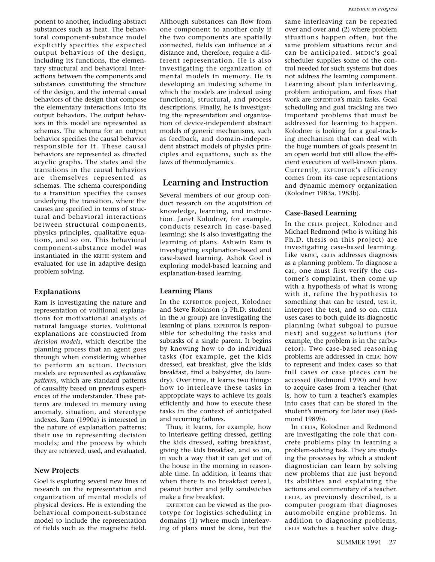ponent to another, including abstract substances such as heat. The behavioral component-substance model explicitly specifies the expected output behaviors of the design, including its functions, the elementary structural and behavioral interactions between the components and substances constituting the structure of the design, and the internal causal behaviors of the design that compose the elementary interactions into its output behaviors. The output behaviors in this model are represented as schemas. The schema for an output behavior specifies the causal behavior responsible for it. These causal behaviors are represented as directed acyclic graphs. The states and the transitions in the causal behaviors are themselves represented as schemas. The schema corresponding to a transition specifies the causes underlying the transition, where the causes are specified in terms of structural and behavioral interactions between structural components, physics principles, qualitative equations, and so on. This behavioral component-substance model was instantiated in the KRITIK system and evaluated for use in adaptive design problem solving.

### **Explanations**

Ram is investigating the nature and representation of volitional explanations for motivational analysis of natural language stories. Volitional explanations are constructed from *decision models*, which describe the planning process that an agent goes through when considering whether to perform an action. Decision models are represented as *explanation patterns*, which are standard patterns of causality based on previous experiences of the understander. These patterns are indexed in memory using anomaly, situation, and stereotype indexes. Ram (1990a) is interested in the nature of explanation patterns; their use in representing decision models; and the process by which they are retrieved, used, and evaluated.

#### **New Projects**

Goel is exploring several new lines of research on the representation and organization of mental models of physical devices. He is extending the behavioral component-substance model to include the representation of fields such as the magnetic field.

Although substances can flow from one component to another only if the two components are spatially connected, fields can influence at a distance and, therefore, require a different representation. He is also investigating the organization of mental models in memory. He is developing an indexing scheme in which the models are indexed using functional, structural, and process descriptions. Finally, he is investigating the representation and organization of device-independent abstract models of generic mechanisms, such as feedback, and domain-independent abstract models of physics principles and equations, such as the laws of thermodynamics.

## **Learning and Instruction**

Several members of our group conduct research on the acquisition of knowledge, learning, and instruction. Janet Kolodner, for example, conducts research in case-based learning; she is also investigating the learning of plans. Ashwin Ram is investigating explanation-based and case-based learning. Ashok Goel is exploring model-based learning and explanation-based learning.

#### **Learning Plans**

In the EXPEDITOR project, Kolodner and Steve Robinson (a Ph.D. student in the AI group) are investigating the learning of plans. EXPEDITOR is responsible for scheduling the tasks and subtasks of a single parent. It begins by knowing how to do individual tasks (for example, get the kids dressed, eat breakfast, give the kids breakfast, find a babysitter, do laundry). Over time, it learns two things: how to interleave these tasks in appropriate ways to achieve its goals efficiently and how to execute these tasks in the context of anticipated and recurring failures.

Thus, it learns, for example, how to interleave getting dressed, getting the kids dressed, eating breakfast, giving the kids breakfast, and so on, in such a way that it can get out of the house in the morning in reasonable time. In addition, it learns that when there is no breakfast cereal, peanut butter and jelly sandwiches make a fine breakfast.

EXPEDITOR can be viewed as the prototype for logistics scheduling in domains (1) where much interleaving of plans must be done, but the

same interleaving can be repeated over and over and (2) where problem situations happen often, but the same problem situations recur and can be anticipated. MEDIC's goal scheduler supplies some of the control needed for such systems but does not address the learning component. Learning about plan interleaving, problem anticipation, and fixes that work are EXPEDITOR's main tasks. Goal scheduling and goal tracking are two important problems that must be addressed for learning to happen. Kolodner is looking for a goal-tracking mechanism that can deal with the huge numbers of goals present in an open world but still allow the efficient execution of well-known plans. Currently, EXPEDITOR's efficiency comes from its case representations and dynamic memory organization (Kolodner 1983a, 1983b).

#### **Case-Based Learning**

In the CELIA project, Kolodner and Michael Redmond (who is writing his Ph.D. thesis on this project) are investigating case-based learning. Like MEDIC, CELIA addresses diagnosis as a planning problem. To diagnose a car, one must first verify the customer's complaint, then come up with a hypothesis of what is wrong with it, refine the hypothesis to something that can be tested, test it, interpret the test, and so on. CELIA uses cases to both guide its diagnostic planning (what subgoal to pursue next) and suggest solutions (for example, the problem is in the carburetor). Two case-based reasoning problems are addressed in CELIA: how to represent and index cases so that full cases or case pieces can be accessed (Redmond 1990) and how to acquire cases from a teacher (that is, how to turn a teacher's examples into cases that can be stored in the student's memory for later use) (Redmond 1989b).

In CELIA, Kolodner and Redmond are investigating the role that concrete problems play in learning a problem-solving task. They are studying the processes by which a student diagnostician can learn by solving new problems that are just beyond its abilities and explaining the actions and commentary of a teacher. CELIA, as previously described, is a computer program that diagnoses automobile engine problems. In addition to diagnosing problems, CELIA watches a teacher solve diag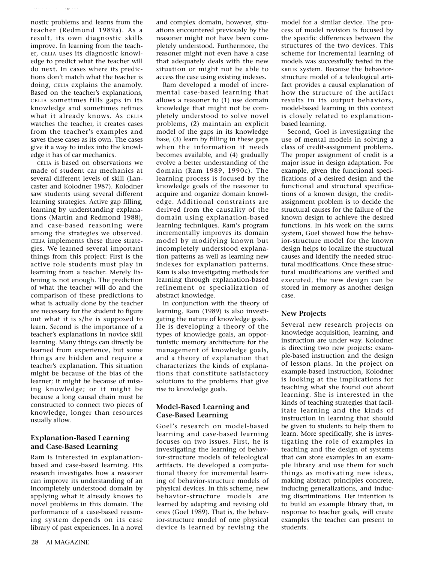nostic problems and learns from the teacher (Redmond 1989a). As a result, its own diagnostic skills improve. In learning from the teacher, CELIA uses its diagnostic knowledge to predict what the teacher will do next. In cases where its predictions don't match what the teacher is doing, CELIA explains the anamoly. Based on the teacher's explanations, CELIA sometimes fills gaps in its knowledge and sometimes refines what it already knows. As CELIA watches the teacher, it creates cases from the teacher's examples and saves these cases as its own. The cases give it a way to index into the knowledge it has of car mechanics.

*Research in Progress*

CELIA is based on observations we made of student car mechanics at several different levels of skill (Lancaster and Kolodner 1987). Kolodner saw students using several different learning strategies. Active gap filling, learning by understanding explanations (Martin and Redmond 1988), and case-based reasoning were among the strategies we observed. CELIA implements these three strategies. We learned several important things from this project: First is the active role students must play in learning from a teacher. Merely listening is not enough. The prediction of what the teacher will do and the comparison of these predictions to what is actually done by the teacher are necessary for the student to figure out what it is s/he is supposed to learn. Second is the importance of a teacher's explanations in novice skill learning. Many things can directly be learned from experience, but some things are hidden and require a teacher's explanation. This situation might be because of the bias of the learner; it might be because of missing knowledge; or it might be because a long causal chain must be constructed to connect two pieces of knowledge, longer than resources usually allow.

# **Explanation-Based Learning and Case-Based Learning**

Ram is interested in explanationbased and case-based learning. His research investigates how a reasoner can improve its understanding of an incompletely understood domain by applying what it already knows to novel problems in this domain. The performance of a case-based reasoning system depends on its case library of past experiences. In a novel

and complex domain, however, situations encountered previously by the reasoner might not have been completely understood. Furthermore, the reasoner might not even have a case that adequately deals with the new situation or might not be able to access the case using existing indexes.

Ram developed a model of incremental case-based learning that allows a reasoner to (1) use domain knowledge that might not be completely understood to solve novel problems, (2) maintain an explicit model of the gaps in its knowledge base, (3) learn by filling in these gaps when the information it needs becomes available, and (4) gradually evolve a better understanding of the domain (Ram 1989, 1990c). The learning process is focused by the knowledge goals of the reasoner to acquire and organize domain knowledge. Additional constraints are derived from the causality of the domain using explanation-based learning techniques. Ram's program incrementally improves its domain model by modifying known but incompletely understood explanation patterns as well as learning new indexes for explanation patterns. Ram is also investigating methods for learning through explanation-based refinement or specialization of abstract knowledge.

In conjunction with the theory of learning, Ram (1989) is also investigating the nature of knowledge goals. He is developing a theory of the types of knowledge goals, an opportunistic memory architecture for the management of knowledge goals, and a theory of explanation that characterizes the kinds of explanations that constitute satisfactory solutions to the problems that give rise to knowledge goals.

## **Model-Based Learning and Case-Based Learning**

Goel's research on model-based learning and case-based learning focuses on two issues. First, he is investigating the learning of behavior-structure models of teleological artifacts. He developed a computational theory for incremental learning of behavior-structure models of physical devices. In this scheme, new behavior-structure models are learned by adapting and revising old ones (Goel 1989). That is, the behavior-structure model of one physical device is learned by revising the

model for a similar device. The process of model revision is focused by the specific differences between the structures of the two devices. This scheme for incremental learning of models was successfully tested in the KRITIK system. Because the behaviorstructure model of a teleological artifact provides a causal explanation of how the structure of the artifact results in its output behaviors, model-based learning in this context is closely related to explanationbased learning.

Second, Goel is investigating the use of mental models in solving a class of credit-assignment problems. The proper assignment of credit is a major issue in design adaptation. For example, given the functional specifications of a desired design and the functional and structural specifications of a known design, the creditassignment problem is to decide the structural causes for the failure of the known design to achieve the desired functions. In his work on the KRITIK system, Goel showed how the behavior-structure model for the known design helps to localize the structural causes and identify the needed structural modifications. Once these structural modifications are verified and executed, the new design can be stored in memory as another design case.

# **New Projects**

Several new research projects on knowledge acquisition, learning, and instruction are under way. Kolodner is directing two new projects: example-based instruction and the design of lesson plans. In the project on example-based instruction, Kolodner is looking at the implications for teaching what she found out about learning. She is interested in the kinds of teaching strategies that facilitate learning and the kinds of instruction in learning that should be given to students to help them to learn. More specifically, she is investigating the role of examples in teaching and the design of systems that can store examples in an example library and use them for such things as motivating new ideas, making abstract principles concrete, inducing generalizations, and inducing discriminations. Her intention is to build an example library that, in response to teacher goals, will create examples the teacher can present to students.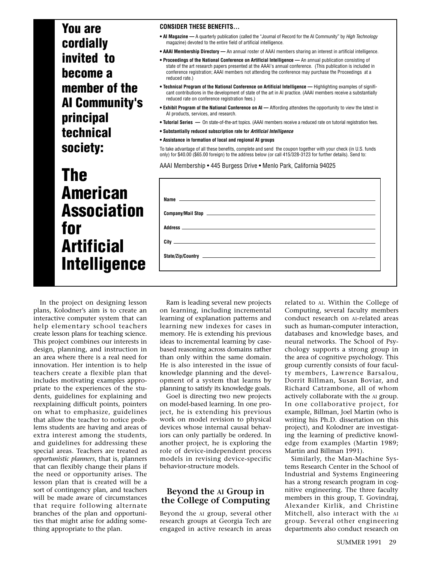**You are cordially invited to become a member of the AI Community's principal technical society:**

# **The American Association for Artificial Intelligence**

#### **CONSIDER THESE BENEFITS…**

- **AI Magazine —** A quarterly publication (called the "Journal of Record for the AI Community" by High Technology magazine) devoted to the entire field of artificial intelligence.
- **AAAI Membership Directory** An annual roster of AAAI members sharing an interest in artificial intelligence.
- **Proceedings of the National Conference on Artificial Intelligence** An annual publication consisting of state of the art research papers presented at the AAAI's annual conference. (This publication is included in conference registration; AAAI members not attending the conference may purchase the Proceedings at a reduced rate.)
- **Technical Program of the National Conference on Artificial Intelligence** Highlighting examples of significant contributions in the development of state of the art in AI practice. (AAAI members receive a substantially reduced rate on conference registration fees.)
- **Exhibit Program of the National Conference on AI** Affording attendees the opportunity to view the latest in AI products, services, and research.
- **Tutorial Series** On state-of-the-art topics. (AAAI members receive a reduced rate on tutorial registration fees.
- **Substantially reduced subscription rate for Artificial Intelligence**
- **Assistance in formation of local and regional AI groups**

To take advantage of all these benefits, complete and send the coupon together with your check (in U.S. funds only) for \$40.00 (\$65.00 foreign) to the address below (or call 415/328-3123 for further details). Send to:

AAAI Membership • 445 Burgess Drive • Menlo Park, California 94025

In the project on designing lesson plans, Kolodner's aim is to create an interactive computer system that can help elementary school teachers create lesson plans for teaching science. This project combines our interests in design, planning, and instruction in an area where there is a real need for innovation. Her intention is to help teachers create a flexible plan that includes motivating examples appropriate to the experiences of the students, guidelines for explaining and reexplaining difficult points, pointers on what to emphasize, guidelines that allow the teacher to notice problems students are having and areas of extra interest among the students, and guidelines for addressing these special areas. Teachers are treated as *opportunistic planners*, that is, planners that can flexibly change their plans if the need or opportunity arises. The lesson plan that is created will be a sort of contingency plan, and teachers will be made aware of circumstances that require following alternate branches of the plan and opportunities that might arise for adding something appropriate to the plan.

Ram is leading several new projects on learning, including incremental learning of explanation patterns and learning new indexes for cases in memory. He is extending his previous ideas to incremental learning by casebased reasoning across domains rather than only within the same domain. He is also interested in the issue of knowledge planning and the development of a system that learns by planning to satisfy its knowledge goals.

Goel is directing two new projects on model-based learning. In one project, he is extending his previous work on model revision to physical devices whose internal causal behaviors can only partially be ordered. In another project, he is exploring the role of device-independent process models in revising device-specific behavior-structure models.

# **Beyond the AI Group in the College of Computing**

Beyond the AI group, several other research groups at Georgia Tech are engaged in active research in areas

related to AI. Within the College of Computing, several faculty members conduct research on AI-related areas such as human-computer interaction, databases and knowledge bases, and neural networks. The School of Psychology supports a strong group in the area of cognitive psychology. This group currently consists of four faculty members, Lawrence Barsalou, Dorrit Billman, Susan Boviar, and Richard Catrambone, all of whom actively collaborate with the AI group. In one collaborative project, for example, Billman, Joel Martin (who is writing his Ph.D. dissertation on this project), and Kolodner are investigating the learning of predictive knowledge from examples (Martin 1989; Martin and Billman 1991).

Similarly, the Man-Machine Systems Research Center in the School of Industrial and Systems Engineering has a strong research program in cognitive engineering. The three faculty members in this group, T. Govindraj, Alexander Kirlik, and Christine Mitchell, also interact with the AI group. Several other engineering departments also conduct research on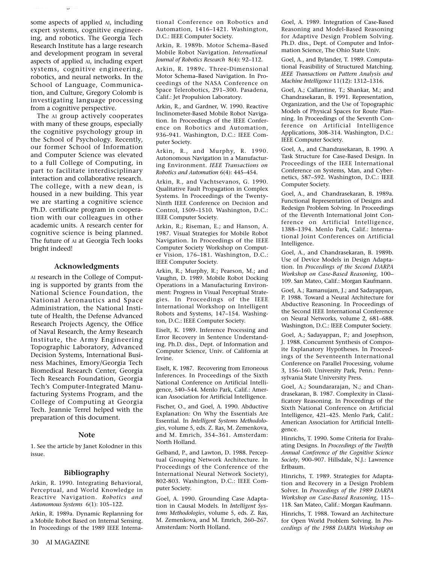some aspects of applied AI, including expert systems, cognitive engineering, and robotics. The Georgia Tech Research Institute has a large research and development program in several aspects of applied AI, including expert systems, cognitive engineering, robotics, and neural networks. In the School of Language, Communication, and Culture, Gregory Colomb is investigating language processing from a cognitive perspective.

*Research in Progress*

The AI group actively cooperates with many of these groups, especially the cognitive psychology group in the School of Psychology. Recently, our former School of Information and Computer Science was elevated to a full College of Computing, in part to facilitate interdisciplinary interaction and collaborative research. The college, with a new dean, is housed in a new building. This year we are starting a cognitive science Ph.D. certificate program in cooperation with our colleagues in other academic units. A research center for cognitive science is being planned. The future of AI at Georgia Tech looks bright indeed!

#### **Acknowledgments**

AI research in the College of Computing is supported by grants from the National Science Foundation, the National Aeronautics and Space Administration, the National Institute of Health, the Defense Advanced Research Projects Agency, the Office of Naval Research, the Army Research Institute, the Army Engineering Topographic Laboratory, Advanced Decision Systems, International Business Machines, Emory/Georgia Tech Biomedical Research Center, Georgia Tech Research Foundation, Georgia Tech's Computer-Integrated Manufacturing Systems Program, and the College of Computing at Georgia Tech. Jeannie Terrel helped with the preparation of this document.

### **Note**

1. See the article by Janet Kolodner in this issue.

#### **Bibliography**

Arkin, R. 1990. Integrating Behavioral, Perceptual, and World Knowledge in Reactive Navigation. *Robotics and Autonomous Systems* 6(1): 105–122.

Arkin, R. 1989a. Dynamic Replanning for a Mobile Robot Based on Internal Sensing. In Proceedings of the 1989 IEEE International Conference on Robotics and Automation, 1416–1421. Washington, D.C.: IEEE Computer Society.

Arkin, R. 1989b. Motor Schema–Based Mobile Robot Navigation. *International Journal of Robotics Research* 8(4): 92–112.

Arkin, R. 1989c. Three-Dimensional Motor Schema–Based Navigation. In Proceedings of the NASA Conference on Space Telerobotics, 291–300. Pasadena, Calif.: Jet Propulsion Laboratory.

Arkin, R., and Gardner, W. 1990. Reactive Inclinometer-Based Mobile Robot Navigation. In Proceedings of the IEEE Conference on Robotics and Automation, 936–941. Washington, D.C.: IEEE Computer Society.

Arkin, R., and Murphy, R. 1990. Autonomous Navigation in a Manufacturing Environment. *IEEE Transactions on Robotics and Automation* 6(4): 445–454.

Arkin, R., and Vachtsevanos, G. 1990. Qualitative Fault Propagation in Complex Systems. In Proceedings of the Twenty-Ninth IEEE Conference on Decision and Control, 1509–1510. Washington, D.C.: IEEE Computer Society.

Arkin, R.; Riseman, E.; and Hanson, A. 1987. Visual Strategies for Mobile Robot Navigation. In Proceedings of the IEEE Computer Society Workshop on Computer Vision, 176–181. Washington, D.C.: IEEE Computer Society.

Arkin, R.; Murphy, R.; Pearson, M.; and Vaughn, D. 1989. Mobile Robot Docking Operations in a Manufacturing Environment: Progress in Visual Perceptual Strategies. In Proceedings of the IEEE International Workshop on Intelligent Robots and Systems, 147–154. Washington, D.C.: IEEE Computer Society.

Eiselt, K. 1989. Inference Processing and Error Recovery in Sentence Understanding. Ph.D. diss., Dept. of Information and Computer Science, Univ. of California at Irvine.

Eiselt, K. 1987. Recovering from Erroneous Inferences. In Proceedings of the Sixth National Conference on Artificial Intelligence, 540–544. Menlo Park, Calif.: American Association for Artificial Intelligence.

Fischer, O., and Goel, A. 1990. Abductive Explanation: On Why the Essentials Are Essential. In *Intelligent Systems Methodologies*, volume 5, eds. Z. Ras, M. Zemenkova, and M. Emrich, 354–361. Amsterdam: North Holland.

Gelband, P., and Lawton, D. 1988. Perceptual Grouping Network Architecture. In Proceedings of the Conference of the International Neural Network Society), 802-803. Washington, D.C.: IEEE Computer Society.

Goel, A. 1990. Grounding Case Adaptation in Causal Models. In *Intelligent Systems Methodologies*, volume 5, eds. Z. Ras, M. Zemenkova, and M. Emrich, 260–267. Amsterdam: North Holland.

Goel, A. 1989. Integration of Case-Based Reasoning and Model-Based Reasoning for Adaptive Design Problem Solving. Ph.D. diss., Dept. of Computer and Information Science, The Ohio State Univ.

Goel, A., and Bylander, T. 1989. Computational Feasibility of Structured Matching. *IEEE Transactions on Pattern Analysis and Machine Intelligence* 11(12): 1312–1316.

Goel, A.; Callantine, T.; Shankar, M.; and Chandrasekaran, B. 1991. Representation, Organization, and the Use of Topographic Models of Physical Spaces for Route Planning. In Proceedings of the Seventh Conference on Artificial Intelligence Applications, 308–314. Washington, D.C.: IEEE Computer Society.

Goel, A., and Chandrasekaran, B. 1990. A Task Structure for Case-Based Design. In Proceedings of the IEEE International Conference on Systems, Man, and Cybernetics, 587–592. Washington, D.C.: IEEE Computer Society.

Goel, A., and Chandrasekaran, B. 1989a. Functional Representation of Designs and Redesign Problem Solving. In Proceedings of the Eleventh International Joint Conference on Artificial Intelligence, 1388–1394. Menlo Park, Calif.: International Joint Conferences on Artificial Intelligence.

Goel, A., and Chandrasekaran, B. 1989b. Use of Device Models in Design Adaptation. In *Proceedings of the Second DARPA Workshop on Case-Based Reasoning,* 100– 109. San Mateo, Calif.: Morgan Kaufmann.

Goel, A.; Ramanujam, J.; and Sadayappan, P. 1988. Toward a Neural Architecture for Abductive Reasoning. In Proceedings of the Second IEEE International Conference on Neural Networks, volume 2, 681–688. Washington, D.C.: IEEE Computer Society.

Goel, A.; Sadayappan, P.; and Josephson, J. 1988. Concurrent Synthesis of Composite Explanatory Hypotheses. In Proceedings of the Seventeenth International Conference on Parallel Processing, volume 3, 156–160. University Park, Penn.: Pennsylvania State University Press.

Goel, A.; Soundararajan, N.; and Chandrasekaran, B. 1987. Complexity in Classificatory Reasoning. In Proceedings of the Sixth National Conference on Artificial Intelligence, 421–425. Menlo Park, Calif.: American Association for Artificial Intelligence.

Hinrichs, T. 1990. Some Criteria for Evaluating Designs. In *Proceedings of the Twelfth Annual Conference of the Cognitive Science Society*, 900–907. Hillsdale, N.J.: Lawrence Erlbaum.

Hinrichs, T. 1989. Strategies for Adaptation and Recovery in a Design Problem Solver. In *Proceedings of the 1989 DARPA Workshop on Case-Based Reasoning,* 115– 118. San Mateo, Calif.: Morgan Kaufmann.

Hinrichs, T. 1988. Toward an Architecture for Open World Problem Solving. In *Proceedings of the 1988 DARPA Workshop on*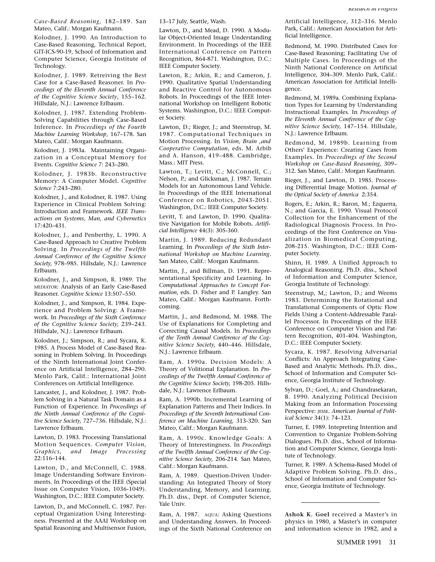*Case-Based Reasoning,* 182–189. San Mateo, Calif.: Morgan Kaufmann.

Kolodner, J. 1990. An Introduction to Case-Based Reasoning, Technical Report, GIT-ICS-90-19, School of Information and Computer Science, Georgia Institute of Technology.

Kolodner, J. 1989. Retreiving the Best Case for a Case-Based Reasoner. In *Proceedings of the Eleventh Annual Conference of the Cognitive Science Society*, 155–162. Hillsdale, N.J.: Lawrence Erlbaum.

Kolodner, J. 1987. Extending Problem-Solving Capabilities through Case-Based Inference. In *Proceedings of the Fourth Machine Learning Workshop*, 167–178. San Mateo, Calif.: Morgan Kaufmann.

Kolodner, J. 1983a. Maintaining Organization in a Conceptual Memory for Events. *Cognitive Science* 7: 243–280.

Kolodner, J. 1983b. Reconstructive Memory: A Computer Model. *Cognitive Science* 7:243–280.

Kolodner, J., and Kolodner, R. 1987. Using Experience in Clinical Problem Solving: Introduction and Framework. *IEEE Transactions on Systems, Man, and Cybernetics* 17:420–431.

Kolodner, J., and Penberthy, L. 1990. A Case-Based Approach to Creative Problem Solving. In *Proceedings of the Twelfth Annual Conference of the Cognitive Science Society,* 978–985. Hillsdale, N.J.: Lawrence Erlbaum.

Kolodner, J., and Simpson, R. 1989. The MEDIATOR: Analysis of an Early Case-Based Reasoner. *Cognitive Science* 13:507–550.

Kolodner, J., and Simpson, R. 1984. Experience and Problem Solving: A Framework. In *Proceedings of the Sixth Conference of the Cognitive Science Society,* 239–243. Hillsdale, N.J.: Lawrence Erlbaum.

Kolodner, J.; Simpson, R.; and Sycara, K. 1985. A Process Model of Case-Based Reasoning in Problem Solving. In Proceedings of the Ninth International Joint Conference on Artificial Intelligence, 284–290. Menlo Park, Calif.: International Joint Conferences on Artificial Intelligence.

Lancaster, J., and Kolodner, J. 1987. Problem Solving in a Natural Task Domain as a Function of Experience. In *Proceedings of the Ninth Annual Conference of the Cognitive Science Society,* 727–736. Hillsdale, N.J.: Lawrence Erlbaum.

Lawton, D. 1983. Processing Translational Motion Sequences. *Computer Vision, Graphics, and Image Processing* 22:116–144.

Lawton, D., and McConnell, C. 1988. Image Understanding Software Environments. In Proceedings of the IEEE (Special Issue on Computer Vision, 1036-1049). Washington, D.C.: IEEE Computer Society.

Lawton, D., and McConnell, C. 1987. Perceptual Organization Using Interestingness. Presented at the AAAI Workshop on Spatial Reasoning and Multisensor Fusion,

13–17 July, Seattle, Wash.

Lawton, D., and Mead, D. 1990. A Modular Object-Oriented Image Understanding Environment. In Proceedings of the IEEE International Conference on Pattern Recognition, 864-871. Washington, D.C.: IEEE Computer Society.

Lawton, R.; Arkin, R.; and Cameron, J. 1990. Qualitative Spatial Understanding and Reactive Control for Autonomous Robots. In Proceedings of the IEEE International Workshop on Intelligent Robotic Systems. Washington, D.C.: IEEE Computer Society.

Lawton, D.; Rieger, J.; and Steenstrup, M. 1987. Computational Techniques in Motion Processing. In *Vision, Brain ,and Cooperative Computation*, eds. M. Arbib and A. Hanson, 419–488. Cambridge, Mass.: MIT Press.

Lawton, T.; Levitt, C.; McConnell, C.; Nelson, P.; and Glicksman, J. 1987. Terrain Models for an Autonomous Land Vehicle. In Proceedings of the IEEE International Conference on Robotics, 2043-2051. Washington, D.C.: IEEE Computer Society.

Levitt, T. and Lawton, D. 1990. Qualitative Navigation for Mobile Robots. *Artificial Intelligence* 44(3): 305-360.

Martin, J. 1989. Reducing Redundant Learning. In *Proceedings of the Sixth International Workshop on Machine Learning.* San Mateo, Calif.: Morgan Kaufmann.

Martin, J., and Billman, D. 1991. Representational Specificity and Learning. In *Computational Approaches to Concept Formation*, eds. D. Fisher and P. Langley. San Mateo, Calif.: Morgan Kaufmann. Forthcoming.

Martin, J., and Redmond, M. 1988. The Use of Explanations for Completing and Correcting Causal Models. In *Proceedings of the Tenth Annual Conference of the Cognitive Science Society,* 440–446. Hillsdale, N.J.: Lawrence Erlbaum.

Ram, A. 1990a. Decision Models: A Theory of Volitional Explanation. In *Proceedings of the Twelfth Annual Conference of the Cognitive Science Society,* 198-205. Hillsdale, N.J.: Lawrence Erlbaum.

Ram, A. 1990b. Incremental Learning of Explanation Patterns and Their Indices. In *Proceedings of the Seventh International Conference on Machine Learning,* 313-320*.* San Mateo, Calif.: Morgan Kaufmann.

Ram, A. 1990c. Knowledge Goals: A Theory of Interestingness. In *Proceedings of the Twelfth Annual Conference of the Cognitive Science Society,* 206-214. San Mateo, Calif.: Morgan Kaufmann.

Ram, A. 1989. Question-Driven Understanding: An Integrated Theory of Story Understanding, Memory, and Learning. Ph.D. diss., Dept. of Computer Science, Yale Univ.

Ram, A. 1987. AQUA: Asking Questions and Understanding Answers. In Proceedings of the Sixth National Conference on

Artificial Intelligence, 312–316. Menlo Park, Calif.: American Association for Artificial Intelligence.

Redmond, M. 1990. Distributed Cases for Case-Based Reasoning; Facilitating Use of Multiple Cases. In Proceedings of the Ninth National Conference on Artificial Intelligence, 304–309. Menlo Park, Calif.: American Association for Artificial Intelligence.

Redmond, M. 1989a. Combining Explanation Types for Learning by Understanding Instructional Examples. In *Proceedings of the Eleventh Annual Conference of the Cognitive Science Society,* 147–154. Hillsdale, N.J.: Lawrence Erlbaum.

Redmond, M. 1989b. Learning from Others' Experience: Creating Cases from Examples. In *Proceedings of the Second Workshop on Case-Based Reasoning,* 309– 312. San Mateo, Calif.: Morgan Kaufmann.

Rieger, J., and Lawton, D. 1985. Processing Differential Image Motion. *Journal of the Optical Society of America* 2:354.

Rogers, E.; Arkin, R.; Baron, M.; Ezquerra, N.; and Garcia, E. 1990. Visual Protocol Collection for the Enhancement of the Radiological Diagnosis Process. In Proceedings of the First Conference on Visualization in Biomedical Computing, 208-215. Washington, D.C.: IEEE Computer Society.

Shinn, H. 1989. A Unified Approach to Analogical Reasoning. Ph.D. diss., School of Information and Computer Science, Georgia Institute of Technology.

Steenstrup, M,; Lawton, D.; and Weems 1983. Determining the Rotational and Translational Components of Optic Flow Fields Using a Content-Addressable Parallel Processor. In Proceedings of the IEEE Conference on Computer Vision and Pattern Recognition, 401-404. Washington, D.C.: IEEE Computer Society.

Sycara, K. 1987. Resolving Adversarial Conflicts: An Approach Integrating Case-Based and Analytic Methods. Ph.D. diss., School of Information and Computer Science, Georgia Institute of Technology.

Sylvan, D.; Goel, A.; and Chandrasekaran, B. 1990. Analyzing Political Decision Making from an Information Processing Perspective: JESSE. American Journal of Polit*ical Science* 34(1): 74–123.

Turner, E. 1989. Intepreting Intention and Convention to Organize Problem-Solving Dialogues. Ph.D. diss., School of Information and Computer Science, Georgia Institute of Technology.

Turner, R. 1989. A Schema-Based Model of Adaptive Problem Solving. Ph.D. diss., School of Information and Computer Science, Georgia Institute of Technology.

**Ashok K. Goel** received a Master's in physics in 1980, a Master's in computer and information science in 1982, and a